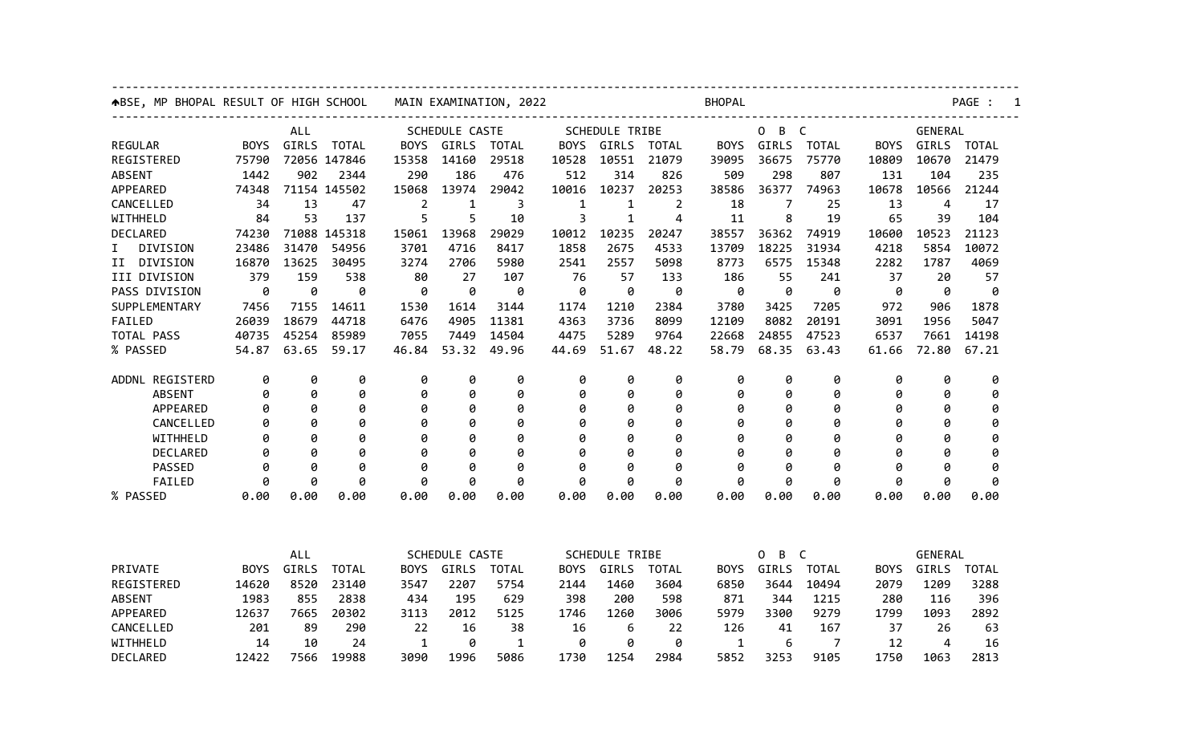| <b>ABSE, MP BHOPAL RESULT OF HIGH SCHOOL</b> |             |       |              | MAIN EXAMINATION, 2022 |                |              |                       | <b>BHOPAL</b>         |              |             |          |              |             | PAGE :         |              |  |  |
|----------------------------------------------|-------------|-------|--------------|------------------------|----------------|--------------|-----------------------|-----------------------|--------------|-------------|----------|--------------|-------------|----------------|--------------|--|--|
| ALL                                          |             |       |              | SCHEDULE CASTE         |                |              | <b>SCHEDULE TRIBE</b> |                       |              | B C<br>0    |          |              |             | <b>GENERAL</b> |              |  |  |
| <b>REGULAR</b>                               | BOYS        | GIRLS | <b>TOTAL</b> | <b>BOYS</b>            | GIRLS          | <b>TOTAL</b> | <b>BOYS</b>           | GIRLS                 | <b>TOTAL</b> | <b>BOYS</b> | GIRLS    | <b>TOTAL</b> | <b>BOYS</b> | GIRLS          | <b>TOTAL</b> |  |  |
| REGISTERED                                   | 75790       |       | 72056 147846 | 15358                  | 14160          | 29518        | 10528                 | 10551                 | 21079        | 39095       | 36675    | 75770        | 10809       | 10670          | 21479        |  |  |
| <b>ABSENT</b>                                | 1442        | 902   | 2344         | 290                    | 186            | 476          | 512                   | 314                   | 826          | 509         | 298      | 807          | 131         | 104            | 235          |  |  |
| APPEARED                                     | 74348       |       | 71154 145502 | 15068                  | 13974          | 29042        | 10016                 | 10237                 | 20253        | 38586       | 36377    | 74963        | 10678       | 10566          | 21244        |  |  |
| CANCELLED                                    | 34          | 13    | 47           | 2                      | 1              | 3            | 1                     | 1                     | 2            | 18          |          | 25           | 13          | 4              | 17           |  |  |
| WITHHELD                                     | 84          | 53    | 137          | 5                      | 5              | 10           | 3                     | 1                     | 4            | 11          | 8        | 19           | 65          | 39             | 104          |  |  |
| DECLARED                                     | 74230       |       | 71088 145318 | 15061                  | 13968          | 29029        | 10012                 | 10235                 | 20247        | 38557       | 36362    | 74919        | 10600       | 10523          | 21123        |  |  |
| I.<br><b>DIVISION</b>                        | 23486       | 31470 | 54956        | 3701                   | 4716           | 8417         | 1858                  | 2675                  | 4533         | 13709       | 18225    | 31934        | 4218        | 5854           | 10072        |  |  |
| II DIVISION                                  | 16870       | 13625 | 30495        | 3274                   | 2706           | 5980         | 2541                  | 2557                  | 5098         | 8773        | 6575     | 15348        | 2282        | 1787           | 4069         |  |  |
| III DIVISION                                 | 379         | 159   | 538          | 80                     | 27             | 107          | 76                    | 57                    | 133          | 186         | 55       | 241          | 37          | 20             | 57           |  |  |
| PASS DIVISION                                | 0           | 0     | 0            | 0                      | 0              | 0            | 0                     | 0                     | 0            | 0           | 0        | 0            | 0           | 0              | 0            |  |  |
| SUPPLEMENTARY                                | 7456        | 7155  | 14611        | 1530                   | 1614           | 3144         | 1174                  | 1210                  | 2384         | 3780        | 3425     | 7205         | 972         | 906            | 1878         |  |  |
| FAILED                                       | 26039       | 18679 | 44718        | 6476                   | 4905           | 11381        | 4363                  | 3736                  | 8099         | 12109       | 8082     | 20191        | 3091        | 1956           | 5047         |  |  |
| TOTAL PASS                                   | 40735       | 45254 | 85989        | 7055                   | 7449           | 14504        | 4475                  | 5289                  | 9764         | 22668       | 24855    | 47523        | 6537        | 7661           | 14198        |  |  |
| % PASSED                                     | 54.87       | 63.65 | 59.17        | 46.84                  | 53.32          | 49.96        | 44.69                 | 51.67                 | 48.22        | 58.79       | 68.35    | 63.43        | 61.66       | 72.80          | 67.21        |  |  |
| ADDNL REGISTERD                              | 0           | 0     | 0            | 0                      | 0              | 0            | 0                     | 0                     | 0            | 0           | 0        | 0            | 0           | 0              | 0            |  |  |
| <b>ABSENT</b>                                | 0           | 0     | 0            | 0                      | 0              | 0            | 0                     | 0                     | 0            | 0           | 0        | 0            | 0           | 0              | 0            |  |  |
| APPEARED                                     | 0           | 0     | 0            | 0                      | 0              | 0            | 0                     | 0                     | 0            | 0           | 0        | 0            | 0           | 0              | 0            |  |  |
| CANCELLED                                    | 0           | 0     | 0            | 0                      | 0              | 0            | 0                     | 0                     | 0            | 0           | 0        | 0            | 0           | 0              | 0            |  |  |
| WITHHELD                                     | 0           | 0     | 0            | 0                      | 0              | 0            | 0                     | 0                     | 0            | 0           | 0        | 0            | 0           | 0              | 0            |  |  |
| <b>DECLARED</b>                              | 0           | ø     | ø            | ø                      | ø              | ø            | ø                     | ø                     | ø            | ø           | 0        | ø            | ø           | ø              | 0            |  |  |
| PASSED                                       | 0           | 0     | 0            | 0                      | 0              | 0            | 0                     | 0                     | Ø            | 0           | 0        | 0            | 0           | ø              | 0            |  |  |
| FAILED                                       | 0           | 0     | 0            | 0                      | 0              | 0            | 0                     | ø                     | 0            | 0           | ø        | 0            | 0           | 0              | 0            |  |  |
| % PASSED                                     | 0.00        | 0.00  | 0.00         | 0.00                   | 0.00           | 0.00         | 0.00                  | 0.00                  | 0.00         | 0.00        | 0.00     | 0.00         | 0.00        | 0.00           | 0.00         |  |  |
|                                              |             |       |              |                        |                |              |                       |                       |              |             |          |              |             |                |              |  |  |
|                                              |             | ALL   |              |                        | SCHEDULE CASTE |              |                       | <b>SCHEDULE TRIBE</b> |              |             | B C<br>0 |              |             | GENERAL        |              |  |  |
| PRIVATE                                      | <b>BOYS</b> | GIRLS | <b>TOTAL</b> | BOYS                   | GIRLS          | <b>TOTAL</b> | <b>BOYS</b>           | GIRLS                 | TOTAL        | BOYS        | GIRLS    | <b>TOTAL</b> | <b>BOYS</b> | GIRLS          | TOTAL        |  |  |
| REGISTERED                                   | 14620       | 8520  | 23140        | 3547                   | 2207           | 5754         | 2144                  | 1460                  | 3604         | 6850        | 3644     | 10494        | 2079        | 1209           | 3288         |  |  |
| <b>ABSENT</b>                                | 1983        | 855   | 2838         | 434                    | 195            | 629          | 398                   | 200                   | 598          | 871         | 344      | 1215         | 280         | 116            | 396          |  |  |
| APPEARED                                     | 12637       | 7665  | 20302        | 3113                   | 2012           | 5125         | 1746                  | 1260                  | 3006         | 5979        | 3300     | 9279         | 1799        | 1093           | 2892         |  |  |
| CANCELLED                                    | 201         | 89    | 290          | 22                     | 16             | 38           | 16                    | 6                     | 22           | 126         | 41       | 167          | 37          | 26             | 63           |  |  |
| WITHHELD                                     | 14          | 10    | 24           | 1                      | 0              | 1            | 0                     | 0                     | 0            | 1           | 6        | 7            | 12          | 4              | 16           |  |  |
| DECLARED                                     | 12422       | 7566  | 19988        | 3090                   | 1996           | 5086         | 1730                  | 1254                  | 2984         | 5852        | 3253     | 9105         | 1750        | 1063           | 2813         |  |  |